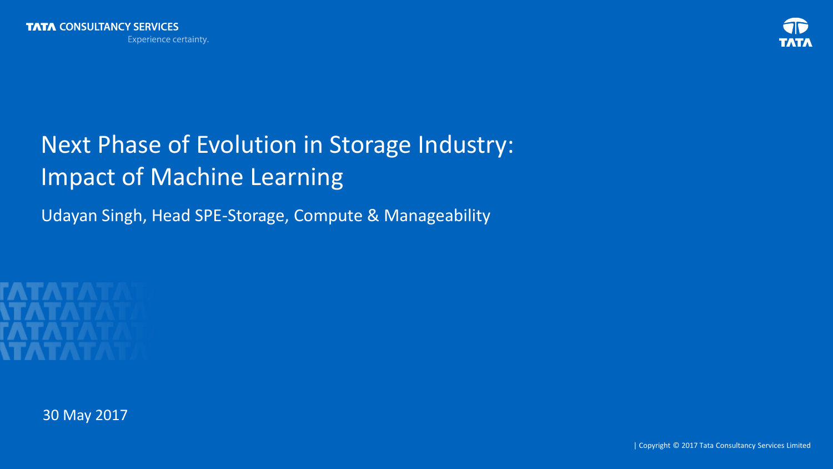

# Next Phase of Evolution in Storage Industry: Impact of Machine Learning

Udayan Singh, Head SPE-Storage, Compute & Manageability



30 May 2017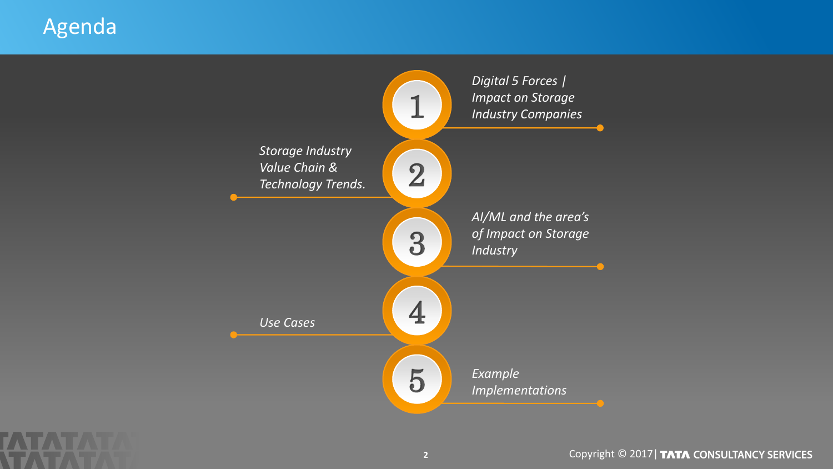### Agenda



Copyright © 2017 | TATA CONSULTANCY SERVICES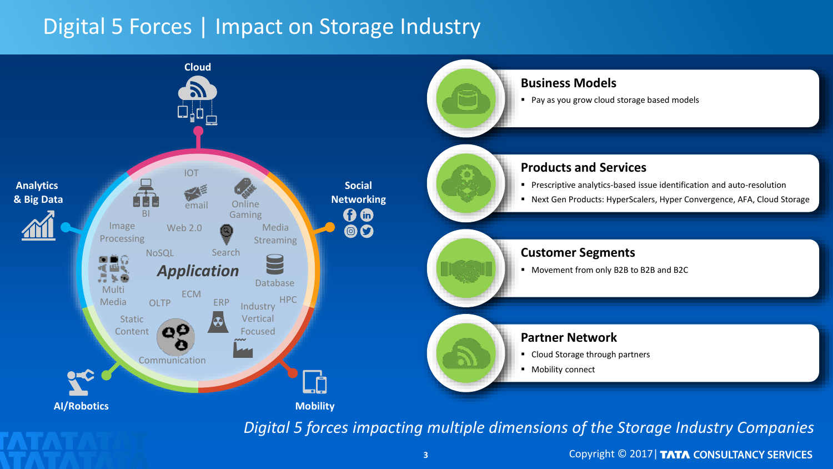### Digital 5 Forces | Impact on Storage Industry



*Digital 5 forces impacting multiple dimensions of the Storage Industry Companies*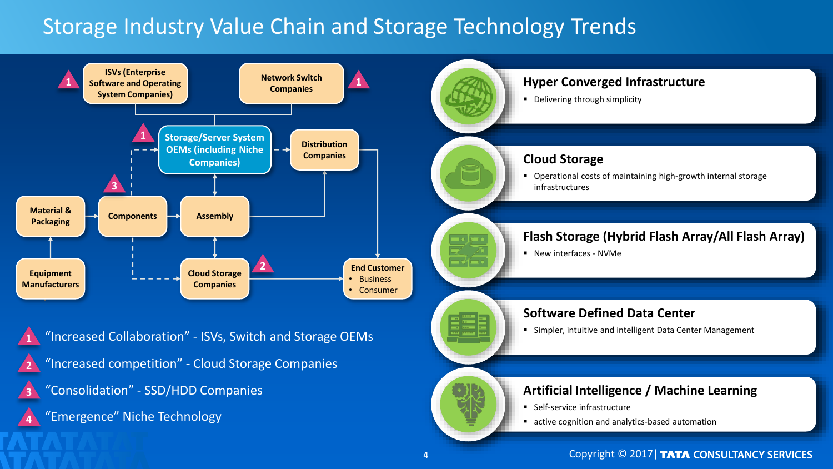## Storage Industry Value Chain and Storage Technology Trends



**4**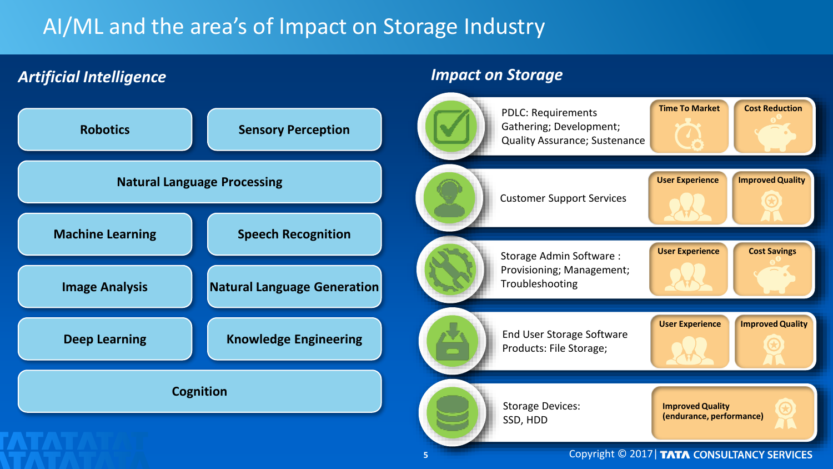## AI/ML and the area's of Impact on Storage Industry



**5**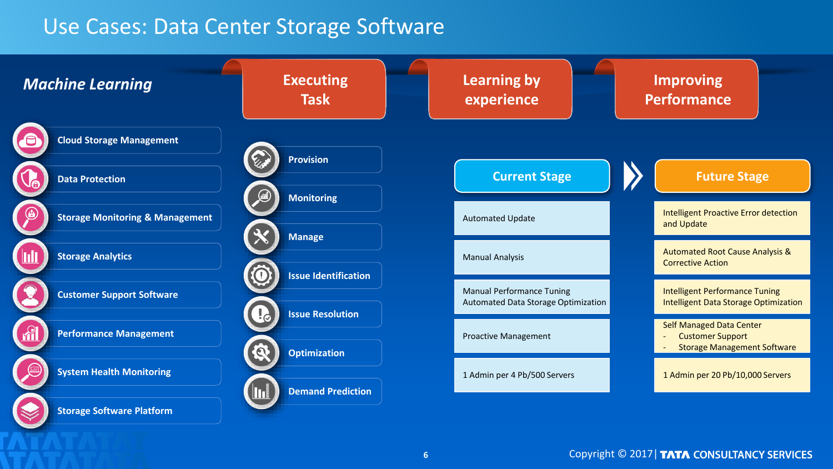#### Use Cases: Data Center Storage Software

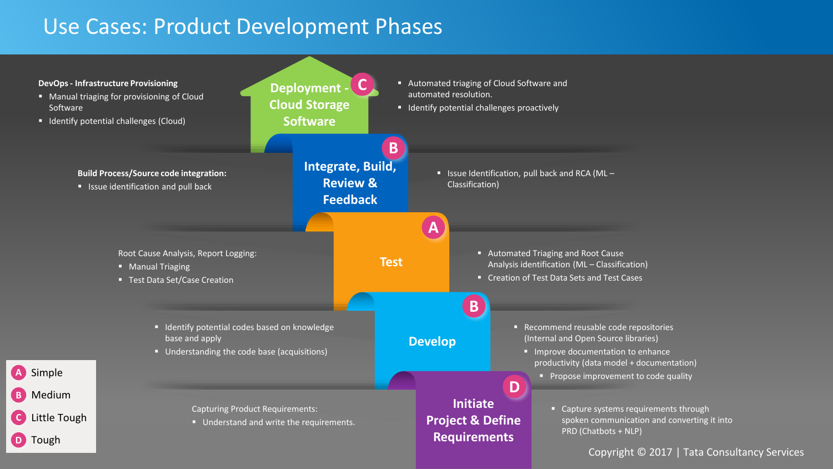#### Use Cases: Product Development Phases

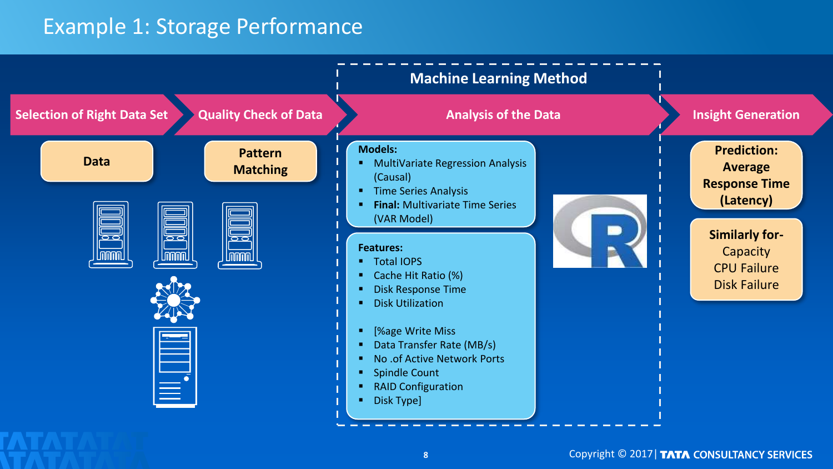#### Example 1: Storage Performance

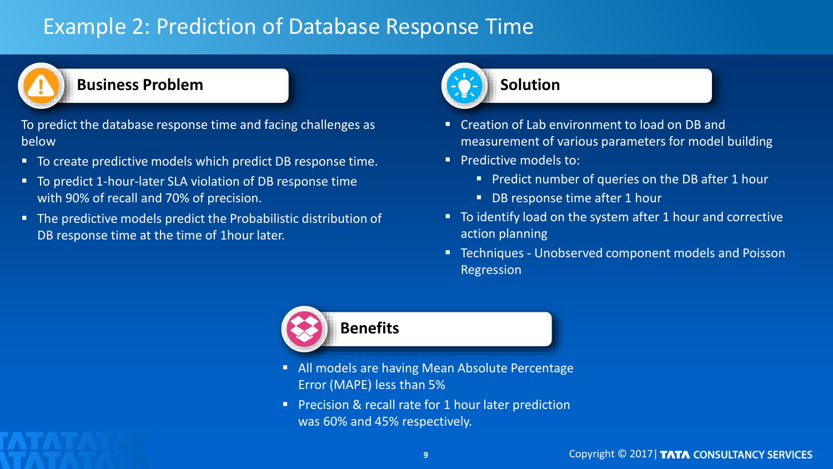### Example 2: Prediction of Database Response Time



#### **Business Problem**

To predict the database response time and facing challenges as below

- To create predictive models which predict DB response time.
- To predict 1-hour-later SLA violation of DB response time with 90% of recall and 70% of precision.
- The predictive models predict the Probabilistic distribution of DB response time at the time of 1hour later.



- Creation of Lab environment to load on DB and measurement of various parameters for model building
- **Predictive models to:** 
	- **Predict number of queries on the DB after 1 hour**
	- DB response time after 1 hour
- To identify load on the system after 1 hour and corrective action planning
- Techniques Unobserved component models and Poisson Regression



- All models are having Mean Absolute Percentage Error (MAPE) less than 5%
- **Precision & recall rate for 1 hour later prediction** was 60% and 45% respectively.